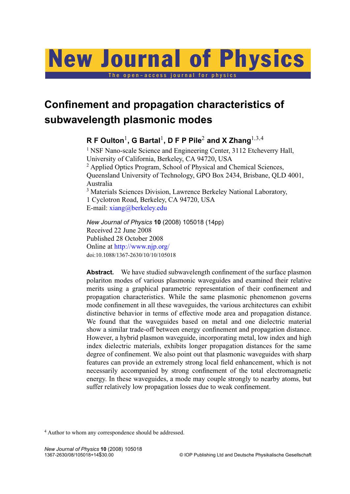# New Journal of Physics

The open-access journal for physic

## **Confinement and propagation characteristics of subwavelength plasmonic modes**

### $\mathsf{R}$  F Oulton $^1$ , G Bartal $^1$ , D F P Pile $^2$  and X Zhang $^{1,3,4}$

<sup>1</sup> NSF Nano-scale Science and Engineering Center, 3112 Etcheverry Hall, University of California, Berkeley, CA 94720, USA <sup>2</sup> Applied Optics Program, School of Physical and Chemical Sciences, Queensland University of Technology, GPO Box 2434, Brisbane, QLD 4001, Australia <sup>3</sup> Materials Sciences Division, Lawrence Berkeley National Laboratory,

1 Cyclotron Road, Berkeley, CA 94720, USA E-mail: [xiang@berkeley.edu](mailto:xiang@berkeley.edu)

*New Journal of Physics* **10** (2008) 105018 (14pp) Received 22 June 2008 Published 28 October 2008 Online at <http://www.njp.org/> doi:10.1088/1367-2630/10/10/105018

Abstract. We have studied subwavelength confinement of the surface plasmon polariton modes of various plasmonic waveguides and examined their relative merits using a graphical parametric representation of their confinement and propagation characteristics. While the same plasmonic phenomenon governs mode confinement in all these waveguides, the various architectures can exhibit distinctive behavior in terms of effective mode area and propagation distance. We found that the waveguides based on metal and one dielectric material show a similar trade-off between energy confinement and propagation distance. However, a hybrid plasmon waveguide, incorporating metal, low index and high index dielectric materials, exhibits longer propagation distances for the same degree of confinement. We also point out that plasmonic waveguides with sharp features can provide an extremely strong local field enhancement, which is not necessarily accompanied by strong confinement of the total electromagnetic energy. In these waveguides, a mode may couple strongly to nearby atoms, but suffer relatively low propagation losses due to weak confinement.

<sup>4</sup> Author to whom any correspondence should be addressed.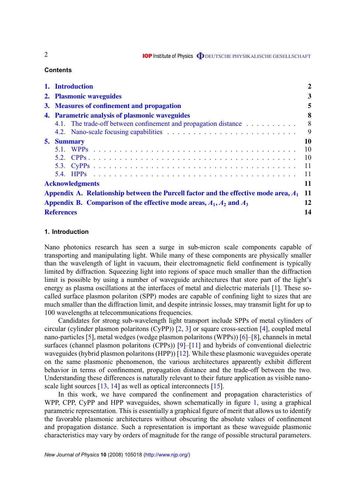**IOP** Institute of Physics **ODEUTSCHE PHYSIKALISCHE GESELLSCHAFT** 

#### **Contents**

| 1. Introduction                                                                        | 2   |
|----------------------------------------------------------------------------------------|-----|
| 2. Plasmonic waveguides                                                                | 3   |
| 3. Measures of confinement and propagation                                             | 5   |
| 4. Parametric analysis of plasmonic waveguides                                         | 8   |
| 4.1. The trade-off between confinement and propagation distance                        | 8   |
|                                                                                        | 9   |
| 5. Summary                                                                             | 10  |
|                                                                                        | 10  |
|                                                                                        | 10  |
|                                                                                        | -11 |
|                                                                                        | 11  |
| <b>Acknowledgments</b>                                                                 | 11  |
| Appendix A. Relationship between the Purcell factor and the effective mode area, $A_1$ | 11  |
| Appendix B. Comparison of the effective mode areas, $A_1$ , $A_2$ and $A_3$            | 12  |
| <b>References</b>                                                                      | 14  |

#### **1. Introduction**

Nano photonics research has seen a surge in sub-micron scale components capable of transporting and manipulating light. While many of these components are physically smaller than the wavelength of light in vacuum, their electromagnetic field confinement is typically limited by diffraction. Squeezing light into regions of space much smaller than the diffraction limit is possible by using a number of waveguide architectures that store part of the light's energy as plasma oscillations at the interfaces of metal and dielectric materials [\[1\]](#page-13-0). These socalled surface plasmon polariton (SPP) modes are capable of confining light to sizes that are much smaller than the diffraction limit, and despite intrinsic losses, may transmit light for up to 100 wavelengths at telecommunications frequencies.

Candidates for strong sub-wavelength light transport include SPPs of metal cylinders of circular (cylinder plasmon polaritons (CyPP)) [\[2,](#page-13-0) [3\]](#page-13-0) or square cross-section [\[4\]](#page-13-0), coupled metal nano-particles [\[5\]](#page-13-0), metal wedges (wedge plasmon polaritons (WPPs)) [\[6\]](#page-13-0)–[\[8\]](#page-13-0), channels in metal surfaces (channel plasmon polaritons (CPPs)) [\[9\]](#page-13-0)–[\[11\]](#page-13-0) and hybrids of conventional dielectric waveguides (hybrid plasmon polaritons (HPP)) [\[12\]](#page-13-0). While these plasmonic waveguides operate on the same plasmonic phenomenon, the various architectures apparently exhibit different behavior in terms of confinement, propagation distance and the trade-off between the two. Understanding these differences is naturally relevant to their future application as visible nano-scale light sources [\[13,](#page-13-0) [14\]](#page-13-0) as well as optical interconnects [\[15\]](#page-13-0).

In this work, we have compared the confinement and propagation characteristics of WPP, CPP, CyPP and HPP waveguides, shown schematically in figure [1,](#page-2-0) using a graphical parametric representation. This is essentially a graphical figure of merit that allows us to identify the favorable plasmonic architectures without obscuring the absolute values of confinement and propagation distance. Such a representation is important as these waveguide plasmonic characteristics may vary by orders of magnitude for the range of possible structural parameters.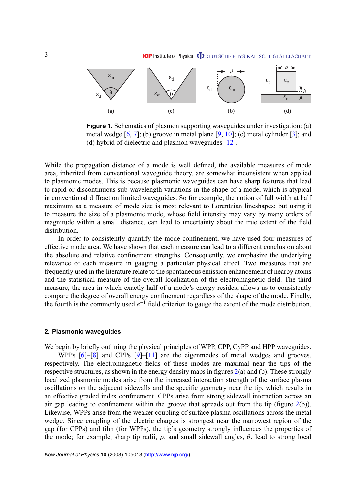#### **IOP** Institute of Physics **ODEUTSCHE PHYSIKALISCHE GESELLSCHAFT**

<span id="page-2-0"></span>

**Figure 1.** Schematics of plasmon supporting waveguides under investigation: (a) metal wedge  $[6, 7]$  $[6, 7]$  $[6, 7]$ ; (b) groove in metal plane  $[9, 10]$  $[9, 10]$  $[9, 10]$ ; (c) metal cylinder  $[3]$ ; and (d) hybrid of dielectric and plasmon waveguides [\[12\]](#page-13-0).

While the propagation distance of a mode is well defined, the available measures of mode area, inherited from conventional waveguide theory, are somewhat inconsistent when applied to plasmonic modes. This is because plasmonic waveguides can have sharp features that lead to rapid or discontinuous sub-wavelength variations in the shape of a mode, which is atypical in conventional diffraction limited waveguides. So for example, the notion of full width at half maximum as a measure of mode size is most relevant to Lorentzian lineshapes; but using it to measure the size of a plasmonic mode, whose field intensity may vary by many orders of magnitude within a small distance, can lead to uncertainty about the true extent of the field distribution.

In order to consistently quantify the mode confinement, we have used four measures of effective mode area. We have shown that each measure can lead to a different conclusion about the absolute and relative confinement strengths. Consequently, we emphasize the underlying relevance of each measure in gauging a particular physical effect. Two measures that are frequently used in the literature relate to the spontaneous emission enhancement of nearby atoms and the statistical measure of the overall localization of the electromagnetic field. The third measure, the area in which exactly half of a mode's energy resides, allows us to consistently compare the degree of overall energy confinement regardless of the shape of the mode. Finally, the fourth is the commonly used *e* <sup>−</sup><sup>1</sup> field criterion to gauge the extent of the mode distribution.

#### **2. Plasmonic waveguides**

We begin by briefly outlining the physical principles of WPP, CPP, CyPP and HPP waveguides.

WPPs [\[6\]](#page-13-0)–[\[8\]](#page-13-0) and CPPs [\[9\]](#page-13-0)–[\[11\]](#page-13-0) are the eigenmodes of metal wedges and grooves, respectively. The electromagnetic fields of these modes are maximal near the tips of the respective structures, as shown in the energy density maps in figures  $2(a)$  $2(a)$  and (b). These strongly localized plasmonic modes arise from the increased interaction strength of the surface plasma oscillations on the adjacent sidewalls and the specific geometry near the tip, which results in an effective graded index confinement. CPPs arise from strong sidewall interaction across an air gap leading to confinement within the groove that spreads out from the tip (figure  $2(b)$  $2(b)$ ). Likewise, WPPs arise from the weaker coupling of surface plasma oscillations across the metal wedge. Since coupling of the electric charges is strongest near the narrowest region of the gap (for CPPs) and film (for WPPs), the tip's geometry strongly influences the properties of the mode; for example, sharp tip radii,  $\rho$ , and small sidewall angles,  $\theta$ , lead to strong local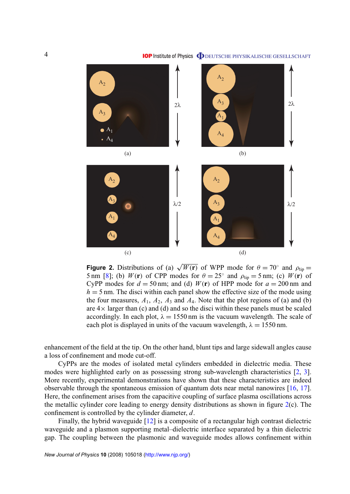<span id="page-3-0"></span>

**Figure 2.** Distributions of (a)  $\sqrt{W(r)}$  of WPP mode for  $\theta = 70^\circ$  and  $\rho_{\text{tip}} =$ 5 nm [\[8\]](#page-13-0); (b)  $W(\mathbf{r})$  of CPP modes for  $\theta = 25^\circ$  and  $\rho_{\text{tip}} = 5$  nm; (c)  $W(\mathbf{r})$  of CyPP modes for  $d = 50$  nm; and (d)  $W(\mathbf{r})$  of HPP mode for  $a = 200$  nm and  $h = 5$  nm. The disci within each panel show the effective size of the mode using the four measures,  $A_1$ ,  $A_2$ ,  $A_3$  and  $A_4$ . Note that the plot regions of (a) and (b) are  $4 \times$  larger than (c) and (d) and so the disci within these panels must be scaled accordingly. In each plot,  $\lambda = 1550$  nm is the vacuum wavelength. The scale of each plot is displayed in units of the vacuum wavelength,  $\lambda = 1550$  nm.

enhancement of the field at the tip. On the other hand, blunt tips and large sidewall angles cause a loss of confinement and mode cut-off.

CyPPs are the modes of isolated metal cylinders embedded in dielectric media. These modes were highlighted early on as possessing strong sub-wavelength characteristics [\[2,](#page-13-0) [3\]](#page-13-0). More recently, experimental demonstrations have shown that these characteristics are indeed observable through the spontaneous emission of quantum dots near metal nanowires [\[16,](#page-13-0) [17\]](#page-13-0). Here, the confinement arises from the capacitive coupling of surface plasma oscillations across the metallic cylinder core leading to energy density distributions as shown in figure  $2(c)$ . The confinement is controlled by the cylinder diameter, *d*.

Finally, the hybrid waveguide [\[12\]](#page-13-0) is a composite of a rectangular high contrast dielectric waveguide and a plasmon supporting metal–dielectric interface separated by a thin dielectric gap. The coupling between the plasmonic and waveguide modes allows confinement within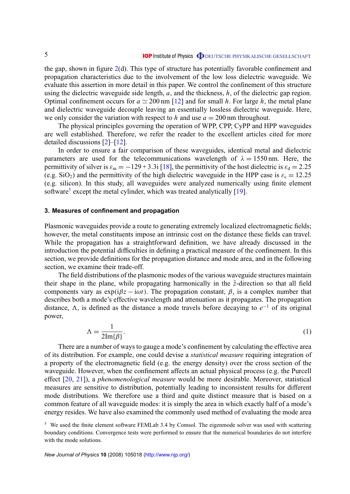<span id="page-4-0"></span>the gap, shown in figure  $2(d)$  $2(d)$ . This type of structure has potentially favorable confinement and propagation characteristics due to the involvement of the low loss dielectric waveguide. We evaluate this assertion in more detail in this paper. We control the confinement of this structure using the dielectric waveguide side length, *a*, and the thickness, *h*, of the dielectric gap region. Optimal confinement occurs for  $a \approx 200$  nm [\[12\]](#page-13-0) and for small *h*. For large *h*, the metal plane and dielectric waveguide decouple leaving an essentially lossless dielectric waveguide. Here, we only consider the variation with respect to  $h$  and use  $a = 200$  nm throughout.

The physical principles governing the operation of WPP, CPP, CyPP and HPP waveguides are well established. Therefore, we refer the reader to the excellent articles cited for more detailed discussions [\[2\]](#page-13-0)–[\[12\]](#page-13-0).

In order to ensure a fair comparison of these waveguides, identical metal and dielectric parameters are used for the telecommunications wavelength of  $\lambda = 1550$  nm. Here, the permittivity of silver is  $\varepsilon_m = -129 + 3.3i$  [\[18\]](#page-13-0), the permittivity of the host dielectric is  $\varepsilon_d = 2.25$ (e.g. SiO<sub>2</sub>) and the permittivity of the high dielectric waveguide in the HPP case is  $\varepsilon_c = 12.25$ (e.g. silicon). In this study, all waveguides were analyzed numerically using finite element software<sup>5</sup> except the metal cylinder, which was treated analytically  $[19]$ .

#### **3. Measures of confinement and propagation**

Plasmonic waveguides provide a route to generating extremely localized electromagnetic fields; however, the metal constituents impose an intrinsic cost on the distance these fields can travel. While the propagation has a straightforward definition, we have already discussed in the introduction the potential difficulties in defining a practical measure of the confinement. In this section, we provide definitions for the propagation distance and mode area, and in the following section, we examine their trade-off.

The field distributions of the plasmonic modes of the various waveguide structures maintain their shape in the plane, while propagating harmonically in the  $\hat{z}$ -direction so that all field components vary as  $exp(i\beta z - i\omega t)$ . The propagation constant,  $\beta$ , is a complex number that describes both a mode's effective wavelength and attenuation as it propagates. The propagation distance,  $\Lambda$ , is defined as the distance a mode travels before decaying to  $e^{-1}$  of its original power,

$$
\Lambda = \frac{1}{2\mathrm{Im}\{\beta\}}.\tag{1}
$$

There are a number of ways to gauge a mode's confinement by calculating the effective area of its distribution. For example, one could devise a *statistical measure* requiring integration of a property of the electromagnetic field (e.g. the energy density) over the cross section of the waveguide. However, when the confinement affects an actual physical process (e.g. the Purcell effect [\[20,](#page-13-0) [21\]](#page-13-0)), a *phenomenological measure* would be more desirable. Moreover, statistical measures are sensitive to distribution, potentially leading to inconsistent results for different mode distributions. We therefore use a third and quite distinct measure that is based on a common feature of all waveguide modes: it is simply the area in which exactly half of a mode's energy resides. We have also examined the commonly used method of evaluating the mode area

<sup>&</sup>lt;sup>5</sup> We used the finite element software FEMLab 3.4 by Comsol. The eigenmode solver was used with scattering boundary conditions. Convergence tests were performed to ensure that the numerical boundaries do not interfere with the mode solutions.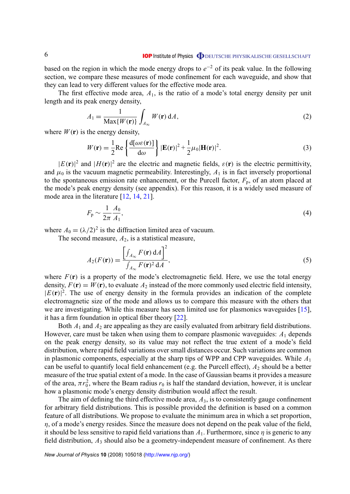<span id="page-5-0"></span>based on the region in which the mode energy drops to  $e^{-2}$  of its peak value. In the following section, we compare these measures of mode confinement for each waveguide, and show that they can lead to very different values for the effective mode area.

The first effective mode area, *A*1, is the ratio of a mode's total energy density per unit length and its peak energy density,

$$
A_1 = \frac{1}{\text{Max}\{W(\mathbf{r})\}} \int_{A_{\infty}} W(\mathbf{r}) \, dA,\tag{2}
$$

where  $W(\mathbf{r})$  is the energy density,

$$
W(\mathbf{r}) = \frac{1}{2} \text{Re} \left\{ \frac{d[\omega \varepsilon(\mathbf{r})]}{d\omega} \right\} |\mathbf{E}(\mathbf{r})|^2 + \frac{1}{2} \mu_0 |\mathbf{H}(\mathbf{r})|^2.
$$
 (3)

 $|E(\mathbf{r})|^2$  and  $|H(\mathbf{r})|^2$  are the electric and magnetic fields,  $\varepsilon(\mathbf{r})$  is the electric permittivity, and  $\mu_0$  is the vacuum magnetic permeability. Interestingly,  $A_1$  is in fact inversely proportional to the spontaneous emission rate enhancement, or the Purcell factor,  $F_p$ , of an atom placed at the mode's peak energy density (see appendix). For this reason, it is a widely used measure of mode area in the literature [\[12,](#page-13-0) [14,](#page-13-0) [21\]](#page-13-0).

$$
F_{\rm p} \sim \frac{1}{2\pi} \frac{A_0}{A_1},\tag{4}
$$

where  $A_0 = (\lambda/2)^2$  is the diffraction limited area of vacuum.

The second measure,  $A_2$ , is a statistical measure,

$$
A_2(F(\mathbf{r})) = \frac{\left[\int_{A_{\infty}} F(\mathbf{r}) \, dA\right]^2}{\int_{A_{\infty}} F(\mathbf{r})^2 \, dA},\tag{5}
$$

where  $F(\mathbf{r})$  is a property of the mode's electromagnetic field. Here, we use the total energy density,  $F(\mathbf{r}) = W(\mathbf{r})$ , to evaluate  $A_2$  instead of the more commonly used electric field intensity,  $|E(\mathbf{r})|^2$ . The use of energy density in the formula provides an indication of the complete electromagnetic size of the mode and allows us to compare this measure with the others that we are investigating. While this measure has seen limited use for plasmonics waveguides [\[15\]](#page-13-0), it has a firm foundation in optical fiber theory [\[22\]](#page-13-0).

Both  $A_1$  and  $A_2$  are appealing as they are easily evaluated from arbitrary field distributions. However, care must be taken when using them to compare plasmonic waveguides: *A*<sup>1</sup> depends on the peak energy density, so its value may not reflect the true extent of a mode's field distribution, where rapid field variations over small distances occur. Such variations are common in plasmonic components, especially at the sharp tips of WPP and CPP waveguides. While *A*<sup>1</sup> can be useful to quantify local field enhancement (e.g. the Purcell effect), *A*<sup>2</sup> should be a better measure of the true spatial extent of a mode. In the case of Gaussian beams it provides a measure of the area,  $\pi r_0^2$ , where the Beam radius  $r_0$  is half the standard deviation, however, it is unclear how a plasmonic mode's energy density distribution would affect the result.

The aim of defining the third effective mode area, *A*3, is to consistently gauge confinement for arbitrary field distributions. This is possible provided the definition is based on a common feature of all distributions. We propose to evaluate the minimum area in which a set proportion,  $\eta$ , of a mode's energy resides. Since the measure does not depend on the peak value of the field, it should be less sensitive to rapid field variations than  $A_1$ . Furthermore, since  $\eta$  is generic to any field distribution, *A*<sup>3</sup> should also be a geometry-independent measure of confinement. As there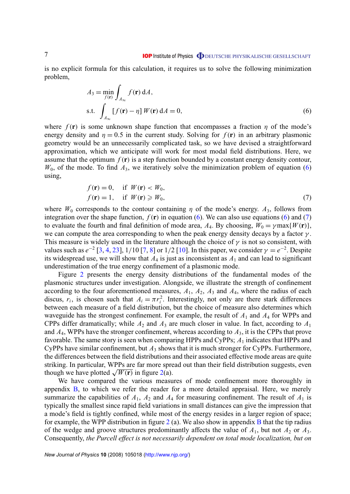is no explicit formula for this calculation, it requires us to solve the following minimization problem,

$$
A_3 = \min_{f(\mathbf{r})} \int_{A_{\infty}} f(\mathbf{r}) dA,
$$
  
s.t. 
$$
\int_{A_{\infty}} [f(\mathbf{r}) - \eta] W(\mathbf{r}) dA = 0,
$$
 (6)

where  $f(\mathbf{r})$  is some unknown shape function that encompasses a fraction  $\eta$  of the mode's energy density and  $\eta = 0.5$  in the current study. Solving for  $f(\mathbf{r})$  in an arbitrary plasmonic geometry would be an unnecessarily complicated task, so we have devised a straightforward approximation, which we anticipate will work for most modal field distributions. Here, we assume that the optimum  $f(\mathbf{r})$  is a step function bounded by a constant energy density contour,  $W_0$ , of the mode. To find  $A_3$ , we iteratively solve the minimization problem of equation (6) using,

$$
f(\mathbf{r}) = 0, \quad \text{if } W(\mathbf{r}) < W_0, \\
f(\mathbf{r}) = 1, \quad \text{if } W(\mathbf{r}) \geqslant W_0,\n \tag{7}
$$

where  $W_0$  corresponds to the contour containing  $\eta$  of the mode's energy.  $A_3$ , follows from integration over the shape function,  $f(\mathbf{r})$  in equation (6). We can also use equations (6) and (7) to evaluate the fourth and final definition of mode area,  $A_4$ . By choosing,  $W_0 = \gamma \max\{W(\mathbf{r})\}$ , we can compute the area corresponding to when the peak energy density decays by a factor  $\gamma$ . This measure is widely used in the literature although the choice of  $\gamma$  is not so consistent, with values such as  $e^{-2}$  [\[3,](#page-13-0) [4,](#page-13-0) [23\]](#page-13-0), 1/10 [\[7,](#page-13-0) [8\]](#page-13-0) or 1/2 [\[10\]](#page-13-0). In this paper, we consider  $γ = e^{-2}$ . Despite its widespread use, we will show that  $A_4$  is just as inconsistent as  $A_1$  and can lead to significant underestimation of the true energy confinement of a plasmonic mode.

Figure [2](#page-3-0) presents the energy density distributions of the fundamental modes of the plasmonic structures under investigation. Alongside, we illustrate the strength of confinement according to the four aforementioned measures, *A*1, *A*2, *A*<sup>3</sup> and *A*4, where the radius of each discus,  $r_i$ , is chosen such that  $A_i = \pi r_i^2$ . Interestingly, not only are there stark differences between each measure of a field distribution, but the choice of measure also determines which waveguide has the strongest confinement. For example, the result of *A*<sup>1</sup> and *A*<sup>4</sup> for WPPs and CPPs differ dramatically; while  $A_2$  and  $A_3$  are much closer in value. In fact, according to  $A_1$ and *A*4, WPPs have the stronger confinement, whereas according to *A*3, it is the CPPs that prove favorable. The same story is seen when comparing HPPs and CyPPs; *A*<sup>1</sup> indicates that HPPs and CyPPs have similar confinement, but  $A_3$  shows that it is much stronger for CyPPs. Furthermore, the differences between the field distributions and their associated effective mode areas are quite striking. In particular, WPPs are far more spread out than their field distribution suggests, even striking. In particular, WPPs are far more spre<br>though we have plotted  $\sqrt{W(\mathbf{r})}$  in figure [2\(](#page-3-0)a).

We have compared the various measures of mode confinement more thoroughly in appendix [B,](#page-11-0) to which we refer the reader for a more detailed appraisal. Here, we merely summarize the capabilities of  $A_1$ ,  $A_2$  and  $A_4$  for measuring confinement. The result of  $A_1$  is typically the smallest since rapid field variations in small distances can give the impression that a mode's field is tightly confined, while most of the energy resides in a larger region of space; for example, the WPP distribution in figure [2](#page-3-0) (a). We also show in appendix [B](#page-11-0) that the tip radius of the wedge and groove structures predominantly affects the value of  $A_1$ , but not  $A_2$  or  $A_3$ . Consequently, *the Purcell effect is not necessarily dependent on total mode localization, but on*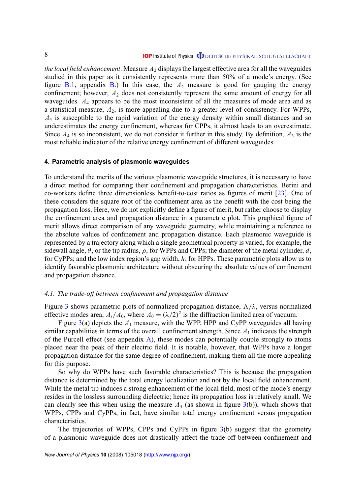<span id="page-7-0"></span>*the local field enhancement*. Measure *A*<sup>2</sup> displays the largest effective area for all the waveguides studied in this paper as it consistently represents more than 50% of a mode's energy. (See figure  $B.1$  $B.1$ , appendix  $B.$ ) In this case, the  $A_2$  measure is good for gauging the energy confinement; however,  $A_2$  does not consistently represent the same amount of energy for all waveguides. *A*<sup>4</sup> appears to be the most inconsistent of all the measures of mode area and as a statistical measure, *A*2, is more appealing due to a greater level of consistency. For WPPs, *A*<sup>4</sup> is susceptible to the rapid variation of the energy density within small distances and so underestimates the energy confinement, whereas for CPPs, it almost leads to an overestimate. Since  $A_4$  is so inconsistent, we do not consider it further in this study. By definition,  $A_3$  is the most reliable indicator of the relative energy confinement of different waveguides.

#### **4. Parametric analysis of plasmonic waveguides**

To understand the merits of the various plasmonic waveguide structures, it is necessary to have a direct method for comparing their confinement and propagation characteristics. Berini and co-workers define three dimensionless benefit-to-cost ratios as figures of merit [\[23\]](#page-13-0). One of these considers the square root of the confinement area as the benefit with the cost being the propagation loss. Here, we do not explicitly define a figure of merit, but rather choose to display the confinement area and propagation distance in a parametric plot. This graphical figure of merit allows direct comparison of any waveguide geometry, while maintaining a reference to the absolute values of confinement and propagation distance. Each plasmonic waveguide is represented by a trajectory along which a single geometrical property is varied, for example, the sidewall angle,  $\theta$ , or the tip radius,  $\rho$ , for WPPs and CPPs; the diameter of the metal cylinder, *d*, for CyPPs; and the low index region's gap width, *h*, for HPPs. These parametric plots allow us to identify favorable plasmonic architecture without obscuring the absolute values of confinement and propagation distance.

#### *4.1. The trade-off between confinement and propagation distance*

Figure [3](#page-8-0) shows parametric plots of normalized propagation distance,  $\Lambda/\lambda$ , versus normalized effective modes area,  $A_i/A_0$ , where  $A_0 = (\lambda/2)^2$  is the diffraction limited area of vacuum.

Figure  $3(a)$  $3(a)$  depicts the  $A_1$  measure, with the WPP, HPP and CyPP waveguides all having similar capabilities in terms of the overall confinement strength. Since  $A_1$  indicates the strength of the Purcell effect (see appendix  $\bf{A}$ ), these modes can potentially couple strongly to atoms placed near the peak of their electric field. It is notable, however, that WPPs have a longer propagation distance for the same degree of confinement, making them all the more appealing for this purpose.

So why do WPPs have such favorable characteristics? This is because the propagation distance is determined by the total energy localization and not by the local field enhancement. While the metal tip induces a strong enhancement of the local field, most of the mode's energy resides in the lossless surrounding dielectric; hence its propagation loss is relatively small. We can clearly see this when using the measure  $A_3$  (as shown in figure [3\(](#page-8-0)b)), which shows that WPPs, CPPs and CyPPs, in fact, have similar total energy confinement versus propagation characteristics.

The trajectories of WPPs, CPPs and CyPPs in figure [3\(](#page-8-0)b) suggest that the geometry of a plasmonic waveguide does not drastically affect the trade-off between confinement and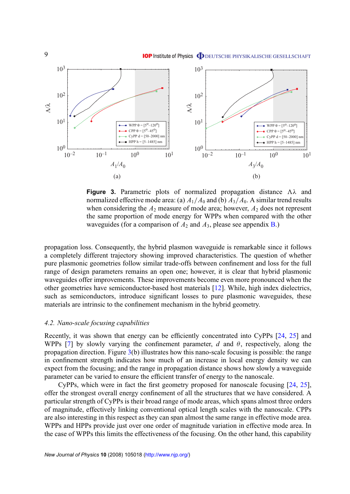<span id="page-8-0"></span>

**Figure 3.** Parametric plots of normalized propagation distance  $\Lambda\lambda$  and normalized effective mode area: (a)  $A_1/A_0$  and (b)  $A_3/A_0$ . A similar trend results when considering the  $A_2$  measure of mode area; however,  $A_2$  does not represent the same proportion of mode energy for WPPs when compared with the other waveguides (for a comparison of  $A_2$  and  $A_3$ , please see appendix **B**.)

propagation loss. Consequently, the hybrid plasmon waveguide is remarkable since it follows a completely different trajectory showing improved characteristics. The question of whether pure plasmonic geometries follow similar trade-offs between confinement and loss for the full range of design parameters remains an open one; however, it is clear that hybrid plasmonic waveguides offer improvements. These improvements become even more pronounced when the other geometries have semiconductor-based host materials [\[12\]](#page-13-0). While, high index dielectrics, such as semiconductors, introduce significant losses to pure plasmonic waveguides, these materials are intrinsic to the confinement mechanism in the hybrid geometry.

#### *4.2. Nano-scale focusing capabilities*

Recently, it was shown that energy can be efficiently concentrated into CyPPs [\[24,](#page-13-0) [25\]](#page-13-0) and WPPs [\[7\]](#page-13-0) by slowly varying the confinement parameter, *d* and  $\theta$ , respectively, along the propagation direction. Figure  $3(b)$  illustrates how this nano-scale focusing is possible: the range in confinement strength indicates how much of an increase in local energy density we can expect from the focusing; and the range in propagation distance shows how slowly a waveguide parameter can be varied to ensure the efficient transfer of energy to the nanoscale.

CyPPs, which were in fact the first geometry proposed for nanoscale focusing [\[24,](#page-13-0) [25\]](#page-13-0), offer the strongest overall energy confinement of all the structures that we have considered. A particular strength of CyPPs is their broad range of mode areas, which spans almost three orders of magnitude, effectively linking conventional optical length scales with the nanoscale. CPPs are also interesting in this respect as they can span almost the same range in effective mode area. WPPs and HPPs provide just over one order of magnitude variation in effective mode area. In the case of WPPs this limits the effectiveness of the focusing. On the other hand, this capability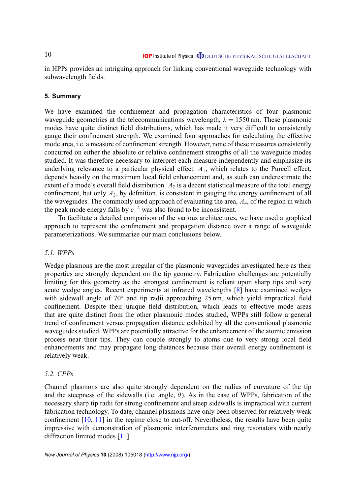<span id="page-9-0"></span>in HPPs provides an intriguing approach for linking conventional waveguide technology with subwavelength fields.

#### **5. Summary**

We have examined the confinement and propagation characteristics of four plasmonic waveguide geometries at the telecommunications wavelength,  $\lambda = 1550$  nm. These plasmonic modes have quite distinct field distributions, which has made it very difficult to consistently gauge their confinement strength. We examined four approaches for calculating the effective mode area, i.e. a measure of confinement strength. However, none of these measures consistently concurred on either the absolute or relative confinement strengths of all the waveguide modes studied. It was therefore necessary to interpret each measure independently and emphasize its underlying relevance to a particular physical effect. *A*1, which relates to the Purcell effect, depends heavily on the maximum local field enhancement and, as such can underestimate the extent of a mode's overall field distribution.  $A_2$  is a decent statistical measure of the total energy confinement, but only *A*3, by definition, is consistent in gauging the energy confinement of all the waveguides. The commonly used approach of evaluating the area, *A*4, of the region in which the peak mode energy falls by  $e^{-2}$  was also found to be inconsistent.

To facilitate a detailed comparison of the various architectures, we have used a graphical approach to represent the confinement and propagation distance over a range of waveguide parameterizations. We summarize our main conclusions below.

#### *5.1. WPPs*

Wedge plasmons are the most irregular of the plasmonic waveguides investigated here as their properties are strongly dependent on the tip geometry. Fabrication challenges are potentially limiting for this geometry as the strongest confinement is reliant upon sharp tips and very acute wedge angles. Recent experiments at infrared wavelengths [\[8\]](#page-13-0) have examined wedges with sidewall angle of 70° and tip radii approaching 25 nm, which yield impractical field confinement. Despite their unique field distribution, which leads to effective mode areas that are quite distinct from the other plasmonic modes studied, WPPs still follow a general trend of confinement versus propagation distance exhibited by all the conventional plasmonic waveguides studied. WPPs are potentially attractive for the enhancement of the atomic emission process near their tips. They can couple strongly to atoms due to very strong local field enhancements and may propagate long distances because their overall energy confinement is relatively weak.

#### *5.2. CPPs*

Channel plasmons are also quite strongly dependent on the radius of curvature of the tip and the steepness of the sidewalls (i.e. angle,  $\theta$ ). As in the case of WPPs, fabrication of the necessary sharp tip radii for strong confinement and steep sidewalls is impractical with current fabrication technology. To date, channel plasmons have only been observed for relatively weak confinement  $[10, 11]$  $[10, 11]$  $[10, 11]$  in the regime close to cut-off. Nevertheless, the results have been quite impressive with demonstration of plasmonic interferometers and ring resonators with nearly diffraction limited modes [\[11\]](#page-13-0).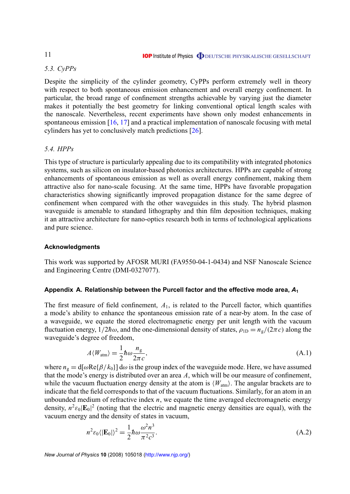#### <span id="page-10-0"></span>*5.3. CyPPs*

Despite the simplicity of the cylinder geometry, CyPPs perform extremely well in theory with respect to both spontaneous emission enhancement and overall energy confinement. In particular, the broad range of confinement strengths achievable by varying just the diameter makes it potentially the best geometry for linking conventional optical length scales with the nanoscale. Nevertheless, recent experiments have shown only modest enhancements in spontaneous emission  $[16, 17]$  $[16, 17]$  $[16, 17]$  and a practical implementation of nanoscale focusing with metal cylinders has yet to conclusively match predictions [\[26\]](#page-13-0).

#### *5.4. HPPs*

This type of structure is particularly appealing due to its compatibility with integrated photonics systems, such as silicon on insulator-based photonics architectures. HPPs are capable of strong enhancements of spontaneous emission as well as overall energy confinement, making them attractive also for nano-scale focusing. At the same time, HPPs have favorable propagation characteristics showing significantly improved propagation distance for the same degree of confinement when compared with the other waveguides in this study. The hybrid plasmon waveguide is amenable to standard lithography and thin film deposition techniques, making it an attractive architecture for nano-optics research both in terms of technological applications and pure science.

#### **Acknowledgments**

This work was supported by AFOSR MURI (FA9550-04-1-0434) and NSF Nanoscale Science and Engineering Centre (DMI-0327077).

#### **Appendix A. Relationship between the Purcell factor and the effective mode area,** *A***<sup>1</sup>**

The first measure of field confinement,  $A_1$ , is related to the Purcell factor, which quantifies a mode's ability to enhance the spontaneous emission rate of a near-by atom. In the case of a waveguide, we equate the stored electromagnetic energy per unit length with the vacuum fluctuation energy,  $1/2\hbar\omega$ , and the one-dimensional density of states,  $\rho_{1D} = n_g/(2\pi c)$  along the waveguide's degree of freedom,

$$
A\langle W_{\rm atm}\rangle = \frac{1}{2}\hbar\omega\frac{n_{\rm g}}{2\pi c},\tag{A.1}
$$

where  $n_g = d[\omega \text{Re}\{\beta/k_0\}]$  d $\omega$  is the group index of the waveguide mode. Here, we have assumed that the mode's energy is distributed over an area *A*, which will be our measure of confinement, while the vacuum fluctuation energy density at the atom is  $\langle W_{\text{atm}}\rangle$ . The angular brackets are to indicate that the field corresponds to that of the vacuum fluctuations. Similarly, for an atom in an unbounded medium of refractive index *n*, we equate the time averaged electromagnetic energy density,  $n^2 \varepsilon_0 |\mathbf{E}_0|^2$  (noting that the electric and magnetic energy densities are equal), with the vacuum energy and the density of states in vacuum,

$$
n^2\varepsilon_0 \langle |\mathbf{E}_0|\rangle^2 = \frac{1}{2}\hbar\omega \frac{\omega^2 n^3}{\pi^2 c^3}.
$$
 (A.2)

*New Journal of Physics* **10** (2008) 105018 [\(http://www.njp.org/\)](http://www.njp.org/)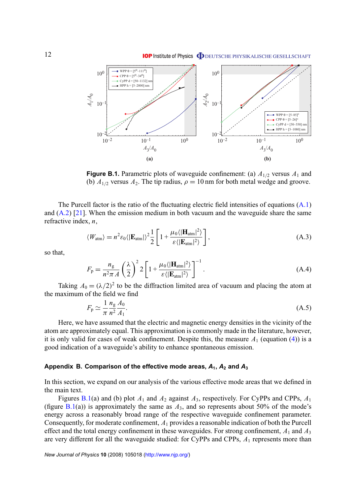<span id="page-11-0"></span>

**Figure B.1.** Parametric plots of waveguide confinement: (a)  $A_{1/2}$  versus  $A_1$  and (b)  $A_{1/2}$  versus  $A_2$ . The tip radius,  $\rho = 10$  nm for both metal wedge and groove.

The Purcell factor is the ratio of the fluctuating electric field intensities of equations [\(A.1\)](#page-10-0) and  $(A.2)$  [\[21\]](#page-13-0). When the emission medium in both vacuum and the waveguide share the same refractive index, *n*,

$$
\langle W_{\rm atm} \rangle = n^2 \varepsilon_0 \langle |\mathbf{E}_{\rm atm}| \rangle^2 \frac{1}{2} \left[ 1 + \frac{\mu_0 \langle |\mathbf{H}_{\rm atm}|^2 \rangle}{\varepsilon \langle |\mathbf{E}_{\rm atm}|^2 \rangle} \right], \tag{A.3}
$$

so that,

$$
F_{\rm p} = \frac{n_{\rm g}}{n^2 \pi A} \left(\frac{\lambda}{2}\right)^2 2 \left[1 + \frac{\mu_0 \langle |\mathbf{H}_{\rm atm}|^2 \rangle}{\varepsilon \langle |\mathbf{E}_{\rm atm}|^2 \rangle}\right]^{-1}.
$$
 (A.4)

Taking  $A_0 = (\lambda/2)^2$  to be the diffraction limited area of vacuum and placing the atom at the maximum of the field we find

$$
F_{\rm p} \simeq \frac{1}{\pi} \frac{n_{\rm g}}{n^2} \frac{A_0}{A_1}.
$$
\n(A.5)

Here, we have assumed that the electric and magnetic energy densities in the vicinity of the atom are approximately equal. This approximation is commonly made in the literature, however, it is only valid for cases of weak confinement. Despite this, the measure  $A_1$  (equation [\(4\)](#page-5-0)) is a good indication of a waveguide's ability to enhance spontaneous emission.

#### Appendix B. Comparison of the effective mode areas,  $A_1$ ,  $A_2$  and  $A_3$

In this section, we expand on our analysis of the various effective mode areas that we defined in the main text.

Figures B.1(a) and (b) plot  $A_1$  and  $A_2$  against  $A_3$ , respectively. For CyPPs and CPPs,  $A_1$ (figure  $B(1(a))$ ) is approximately the same as  $A_3$ , and so represents about 50% of the mode's energy across a reasonably broad range of the respective waveguide confinement parameter. Consequently, for moderate confinement, *A*<sup>1</sup> provides a reasonable indication of both the Purcell effect and the total energy confinement in these waveguides. For strong confinement, *A*<sup>1</sup> and *A*<sup>3</sup> are very different for all the waveguide studied: for CyPPs and CPPs, *A*<sup>1</sup> represents more than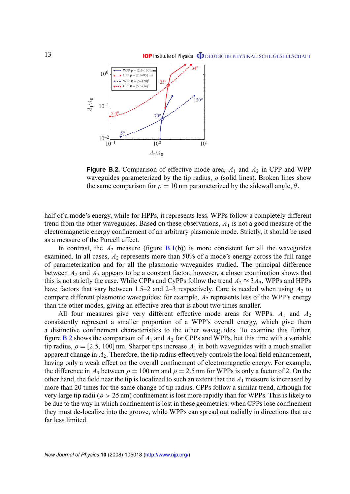

**Figure B.2.** Comparison of effective mode area,  $A_1$  and  $A_2$  in CPP and WPP waveguides parameterized by the tip radius,  $\rho$  (solid lines). Broken lines show the same comparison for  $\rho = 10$  nm parameterized by the sidewall angle,  $\theta$ .

half of a mode's energy, while for HPPs, it represents less. WPPs follow a completely different trend from the other waveguides. Based on these observations, *A*<sup>1</sup> is not a good measure of the electromagnetic energy confinement of an arbitrary plasmonic mode. Strictly, it should be used as a measure of the Purcell effect.

In contrast, the  $A_2$  measure (figure  $B(1(b))$ ) is more consistent for all the waveguides examined. In all cases,  $A_2$  represents more than 50% of a mode's energy across the full range of parameterization and for all the plasmonic waveguides studied. The principal difference between *A*<sup>2</sup> and *A*<sup>3</sup> appears to be a constant factor; however, a closer examination shows that this is not strictly the case. While CPPs and CyPPs follow the trend  $A_2 \approx 3A_3$ , WPPs and HPPs have factors that vary between 1.5–2 and 2–3 respectively. Care is needed when using  $A_2$  to compare different plasmonic waveguides: for example,  $A_2$  represents less of the WPP's energy than the other modes, giving an effective area that is about two times smaller.

All four measures give very different effective mode areas for WPPs. *A*<sup>1</sup> and *A*<sup>2</sup> consistently represent a smaller proportion of a WPP's overall energy, which give them a distinctive confinement characteristics to the other waveguides. To examine this further, figure B.2 shows the comparison of  $A_1$  and  $A_2$  for CPPs and WPPs, but this time with a variable tip radius,  $\rho = [2.5, 100]$  nm. Sharper tips increase  $A_1$  in both waveguides with a much smaller apparent change in *A*2. Therefore, the tip radius effectively controls the local field enhancement, having only a weak effect on the overall confinement of electromagnetic energy. For example, the difference in  $A_3$  between  $\rho = 100$  nm and  $\rho = 2.5$  nm for WPPs is only a factor of 2. On the other hand, the field near the tip is localized to such an extent that the *A*<sup>1</sup> measure is increased by more than 20 times for the same change of tip radius. CPPs follow a similar trend, although for very large tip radii ( $\rho > 25$  nm) confinement is lost more rapidly than for WPPs. This is likely to be due to the way in which confinement is lost in these geometries: when CPPs lose confinement they must de-localize into the groove, while WPPs can spread out radially in directions that are far less limited.